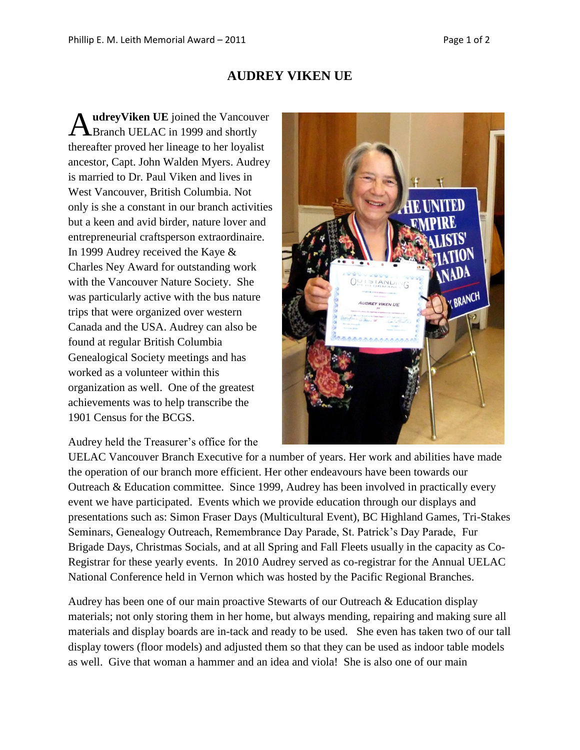## **AUDREY VIKEN UE**

**udreyViken UE** joined the Vancouver AudreyViken UE joined the Vancouv<br>Branch UELAC in 1999 and shortly thereafter proved her lineage to her loyalist ancestor, Capt. John Walden Myers. Audrey is married to Dr. Paul Viken and lives in West Vancouver, British Columbia. Not only is she a constant in our branch activities but a keen and avid birder, nature lover and entrepreneurial craftsperson extraordinaire. In 1999 Audrey received the Kaye & Charles Ney Award for outstanding work with the Vancouver Nature Society. She was particularly active with the bus nature trips that were organized over western Canada and the USA. Audrey can also be found at regular British Columbia Genealogical Society meetings and has worked as a volunteer within this organization as well. One of the greatest achievements was to help transcribe the 1901 Census for the BCGS.



Audrey held the Treasurer's office for the

UELAC Vancouver Branch Executive for a number of years. Her work and abilities have made the operation of our branch more efficient. Her other endeavours have been towards our Outreach & Education committee. Since 1999, Audrey has been involved in practically every event we have participated. Events which we provide education through our displays and presentations such as: Simon Fraser Days (Multicultural Event), BC Highland Games, Tri-Stakes Seminars, Genealogy Outreach, Remembrance Day Parade, St. Patrick's Day Parade, Fur Brigade Days, Christmas Socials, and at all Spring and Fall Fleets usually in the capacity as Co-Registrar for these yearly events. In 2010 Audrey served as co-registrar for the Annual UELAC National Conference held in Vernon which was hosted by the Pacific Regional Branches.

Audrey has been one of our main proactive Stewarts of our Outreach & Education display materials; not only storing them in her home, but always mending, repairing and making sure all materials and display boards are in-tack and ready to be used. She even has taken two of our tall display towers (floor models) and adjusted them so that they can be used as indoor table models as well. Give that woman a hammer and an idea and viola! She is also one of our main